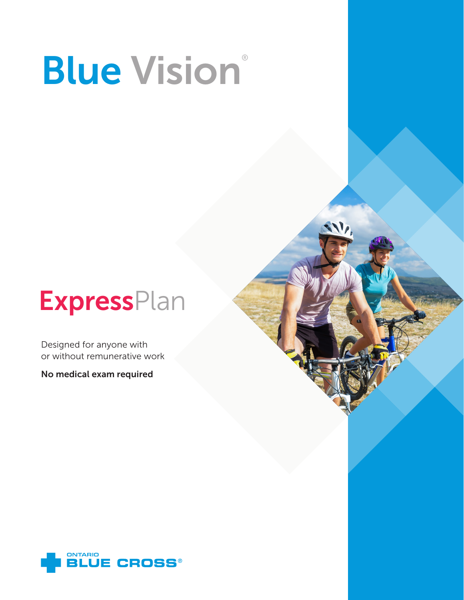# **Blue Vision®**

 $V_{\ell}$ 

## **ExpressPlan**

Designed for anyone with or without remunerative work

No medical exam required

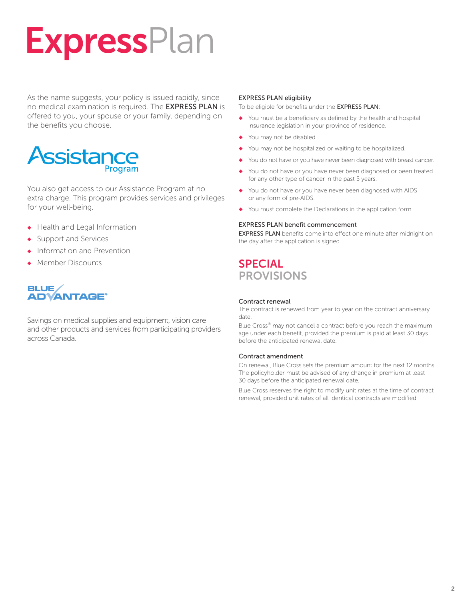# **ExpressPlan**

As the name suggests, your policy is issued rapidly, since no medical examination is required. The EXPRESS PLAN is offered to you, your spouse or your family, depending on the benefits you choose.

## Assistance

You also get access to our Assistance Program at no extra charge. This program provides services and privileges for your well-being.

- ◆ Health and Legal Information
- Support and Services
- ◆ Information and Prevention
- **Member Discounts**

#### **BLUE ADVANTAGE®**

Savings on medical supplies and equipment, vision care and other products and services from participating providers across Canada.

#### EXPRESS PLAN eligibility

To be eligible for benefits under the EXPRESS PLAN:

- ◆ You must be a beneficiary as defined by the health and hospital insurance legislation in your province of residence.
- ◆ You may not be disabled.
- You may not be hospitalized or waiting to be hospitalized.
- You do not have or you have never been diagnosed with breast cancer.
- You do not have or you have never been diagnosed or been treated for any other type of cancer in the past 5 years.
- You do not have or you have never been diagnosed with AIDS or any form of pre-AIDS.
- You must complete the Declarations in the application form.

#### EXPRESS PLAN benefit commencement

EXPRESS PLAN benefits come into effect one minute after midnight on the day after the application is signed.

## **SPECIAL** PROVISIONS

#### Contract renewal

The contract is renewed from year to year on the contract anniversary date.

Blue Cross® may not cancel a contract before you reach the maximum age under each benefit, provided the premium is paid at least 30 days before the anticipated renewal date.

#### Contract amendment

On renewal, Blue Cross sets the premium amount for the next 12 months. The policyholder must be advised of any change in premium at least 30 days before the anticipated renewal date.

Blue Cross reserves the right to modify unit rates at the time of contract renewal, provided unit rates of all identical contracts are modified.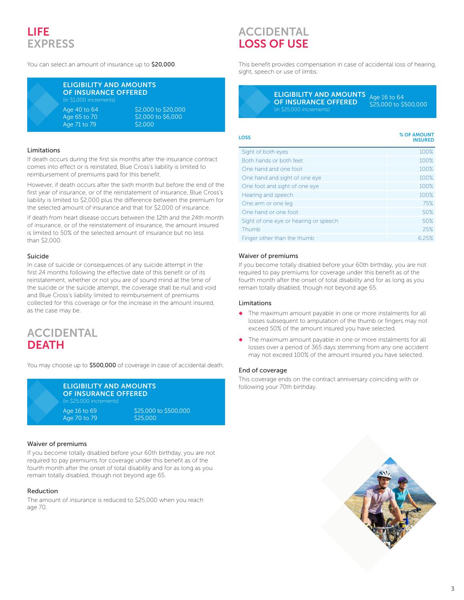## LIFE **EXPRESS**

You can select an amount of insurance up to \$20,000.

| EL   |
|------|
| ΟI   |
| (in) |
| Ag   |
| Ag   |
| Ag   |
|      |

#### **IGIBILITY AND AMOUNTS INSURANCE OFFERED** 1,000 increments

40 to 64 \$2,000 to \$20,000 65 to 70 \$2,000 to \$6,000 71 to 79 \$2,000

#### Limitations

If death occurs during the first six months after the insurance contract comes into effect or is reinstated, Blue Cross's liability is limited to reimbursement of premiums paid for this benefit.

However, if death occurs after the sixth month but before the end of the first year of insurance, or of the reinstatement of insurance, Blue Cross's liability is limited to \$2,000 plus the difference between the premium for the selected amount of insurance and that for \$2,000 of insurance.

If death from heart disease occurs between the 12th and the 24th month of insurance, or of the reinstatement of insurance, the amount insured is limited to 50% of the selected amount of insurance but no less than \$2,000.

#### Suicide

In case of suicide or consequences of any suicide attempt in the first 24 months following the effective date of this benefit or of its reinstatement, whether or not you are of sound mind at the time of the suicide or the suicide attempt, the coverage shall be null and void and Blue Cross's liability limited to reimbursement of premiums collected for this coverage or for the increase in the amount insured, as the case may be.

## ACCIDENTAL **DEATH**

You may choose up to \$500,000 of coverage in case of accidental death.

| <b>ELIGIBILITY AND AMOUNTS</b><br><b>OF INSURANCE OFFERED</b><br>(in \$25,000 increments) |                                   |
|-------------------------------------------------------------------------------------------|-----------------------------------|
| Age 16 to 69<br>Age 70 to 79                                                              | \$25,000 to \$500,000<br>\$25,000 |

#### Waiver of premiums

If you become totally disabled before your 60th birthday, you are not required to pay premiums for coverage under this benefit as of the fourth month after the onset of total disability and for as long as you remain totally disabled, though not beyond age 65.

#### Reduction

The amount of insurance is reduced to \$25,000 when you reach age 70.

## ACCIDENTAL LOSS OF USE

This benefit provides compensation in case of accidental loss of hearing, sight, speech or use of limbs.

> ELIGIBILITY AND AMOUNTS OF INSURANCE OFFERED Age 16 to 64 \$25,000 to \$500,000

> > INSURED

## LOSS % OF AMOUNT

| Sight of both eyes                    | 100%  |
|---------------------------------------|-------|
| Both hands or both feet               | 100%  |
| One hand and one foot                 | 100%  |
| One hand and sight of one eye         | 100%  |
| One foot and sight of one eye         | 100%  |
| Hearing and speech                    | 100%  |
| One arm or one leg                    | 75%   |
| One hand or one foot                  | 50%   |
| Sight of one eye or hearing or speech | 50%   |
| Thumb                                 | 25%   |
| Finger other than the thumb           | 6.25% |

#### Waiver of premiums

If you become totally disabled before your 60th birthday, you are not required to pay premiums for coverage under this benefit as of the fourth month after the onset of total disability and for as long as you remain totally disabled, though not beyond age 65.

#### Limitations

- ◆ The maximum amount payable in one or more instalments for all losses subsequent to amputation of the thumb or fingers may not exceed 50% of the amount insured you have selected.
- ◆ The maximum amount payable in one or more instalments for all losses over a period of 365 days stemming from any one accident may not exceed 100% of the amount insured you have selected.

#### End of coverage

This coverage ends on the contract anniversary coinciding with or following your 70th birthday.

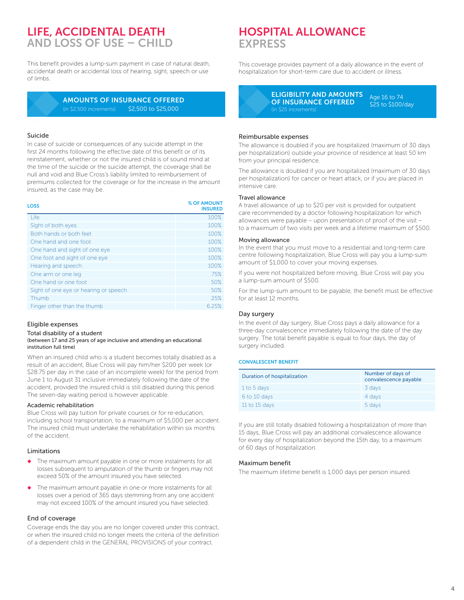## LIFE, ACCIDENTAL DEATH AND LOSS OF USE – CHILD

This benefit provides a lump-sum payment in case of natural death, accidental death or accidental loss of hearing, sight, speech or use of limbs.

> AMOUNTS OF INSURANCE OFFERED (in \$2,500 increments) \$2,500 to \$25,000

#### Suicide

In case of suicide or consequences of any suicide attempt in the first 24 months following the effective date of this benefit or of its reinstatement, whether or not the insured child is of sound mind at the time of the suicide or the suicide attempt, the coverage shall be null and void and Blue Cross's liability limited to reimbursement of premiums collected for the coverage or for the increase in the amount insured, as the case may be.

| <b>LOSS</b>                           | % OF AMOUNT<br><b>INSURED</b> |
|---------------------------------------|-------------------------------|
| Life                                  | 100%                          |
| Sight of both eyes                    | 100%                          |
| Both hands or both feet               | 100%                          |
| One hand and one foot                 | 100%                          |
| One hand and sight of one eye         | 100%                          |
| One foot and sight of one eye         | 100%                          |
| Hearing and speech                    | 100%                          |
| One arm or one leg                    | 75%                           |
| One hand or one foot                  | 50%                           |
| Sight of one eye or hearing or speech | 50%                           |
| Thumb                                 | 25%                           |
| Finger other than the thumb           | 6.25%                         |

#### Eligible expenses

Total disability of a student

#### (between 17 and 25 years of age inclusive and attending an educational institution full time)

When an insured child who is a student becomes totally disabled as a result of an accident, Blue Cross will pay him/her \$200 per week (or \$28.75 per day in the case of an incomplete week) for the period from June 1 to August 31 inclusive immediately following the date of the accident, provided the insured child is still disabled during this period. The seven-day waiting period is however applicable.

#### Academic rehabilitation

Blue Cross will pay tuition for private courses or for re-education, including school transportation, to a maximum of \$5,000 per accident. The insured child must undertake the rehabilitation within six months of the accident.

#### Limitations

- ◆ The maximum amount payable in one or more instalments for all losses subsequent to amputation of the thumb or fingers may not exceed 50% of the amount insured you have selected.
- The maximum amount payable in one or more instalments for all losses over a period of 365 days stemming from any one accident may not exceed 100% of the amount insured you have selected.

#### End of coverage

Coverage ends the day you are no longer covered under this contract, or when the insured child no longer meets the criteria of the definition of a dependent child in the GENERAL PROVISIONS of your contract.

## HOSPITAL ALLOWANCE **EXPRESS**

This coverage provides payment of a daily allowance in the event of hospitalization for short-term care due to accident or illness.

> ELIGIBILITY AND AMOUNTS OF INSURANCE OFFERED Age 16 to 74 \$25 to \$100/day

#### Reimbursable expenses

The allowance is doubled if you are hospitalized (maximum of 30 days per hospitalization) outside your province of residence at least 50 km from your principal residence.

The allowance is doubled if you are hospitalized (maximum of 30 days per hospitalization) for cancer or heart attack, or if you are placed in intensive care.

#### Travel allowance

A travel allowance of up to \$20 per visit is provided for outpatient care recommended by a doctor following hospitalization for which allowances were payable – upon presentation of proof of the visit – to a maximum of two visits per week and a lifetime maximum of \$500.

#### Moving allowance

In the event that you must move to a residential and long-term care centre following hospitalization, Blue Cross will pay you a lump-sum amount of \$1,000 to cover your moving expenses.

If you were not hospitalized before moving, Blue Cross will pay you a lump-sum amount of \$500.

For the lump-sum amount to be payable, the benefit must be effective for at least 12 months.

#### Day surgery

In the event of day surgery, Blue Cross pays a daily allowance for a three-day convalescence immediately following the date of the day surgery. The total benefit payable is equal to four days, the day of surgery included.

#### CONVALESCENT BENEFIT

| <b>Duration of hospitalization</b> | Number of days of<br>convalescence payable |
|------------------------------------|--------------------------------------------|
| 1 to 5 days                        | 3 days                                     |
| 6 to 10 days                       | 4 days                                     |
| 11 to 15 days                      | 5 days                                     |

If you are still totally disabled following a hospitalization of more than 15 days, Blue Cross will pay an additional convalescence allowance for every day of hospitalization beyond the 15th day, to a maximum of 60 days of hospitalization.

#### Maximum benefit

The maximum lifetime benefit is 1,000 days per person insured.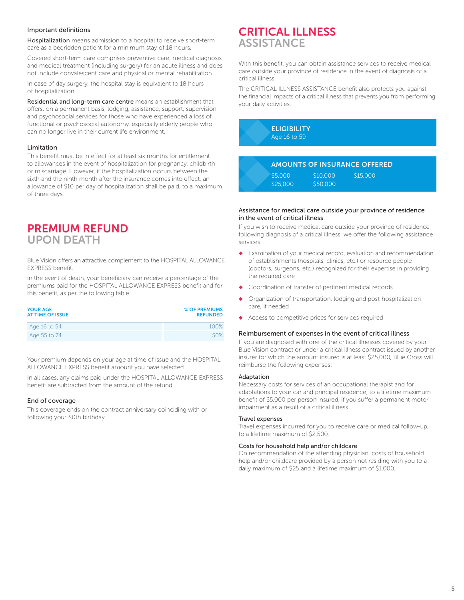#### Important definitions

Hospitalization means admission to a hospital to receive short-term care as a bedridden patient for a minimum stay of 18 hours.

Covered short-term care comprises preventive care, medical diagnosis and medical treatment (including surgery) for an acute illness and does not include convalescent care and physical or mental rehabilitation.

In case of day surgery, the hospital stay is equivalent to 18 hours of hospitalization.

Residential and long-term care centre means an establishment that offers, on a permanent basis, lodging, assistance, support, supervision and psychosocial services for those who have experienced a loss of functional or psychosocial autonomy, especially elderly people who can no longer live in their current life environment.

#### Limitation

This benefit must be in effect for at least six months for entitlement to allowances in the event of hospitalization for pregnancy, childbirth or miscarriage. However, if the hospitalization occurs between the sixth and the ninth month after the insurance comes into effect, an allowance of \$10 per day of hospitalization shall be paid, to a maximum of three days.

## **PREMIUM REFUND**<br>UPON DEATH

Blue Vision offers an attractive complement to the HOSPITAL ALLOWANCE EXPRESS benefit.

In the event of death, your beneficiary can receive a percentage of the premiums paid for the HOSPITAL ALLOWANCE EXPRESS benefit and for this benefit, as per the following table:

| <b>YOUR AGE</b><br><b>AT TIME OF ISSUE</b> | % OF PREMIUMS<br><b>REFUNDED</b> |
|--------------------------------------------|----------------------------------|
| Age 16 to 54                               | 100%                             |
| Age 55 to 74                               | 50%                              |

Your premium depends on your age at time of issue and the HOSPITAL ALLOWANCE EXPRESS benefit amount you have selected.

In all cases, any claims paid under the HOSPITAL ALLOWANCE EXPRESS benefit are subtracted from the amount of the refund.

#### End of coverage

This coverage ends on the contract anniversary coinciding with or following your 80th birthday.

## CRITICAL ILLNESS **ASSISTANCE**

With this benefit, you can obtain assistance services to receive medical care outside your province of residence in the event of diagnosis of a critical illness.

The CRITICAL ILLNESS ASSISTANCE benefit also protects you against the financial impacts of a critical illness that prevents you from performing your daily activities.

> **ELIGIBILITY** Age 16 to 59

#### AMOUNTS OF INSURANCE OFFERED

| S5,000   | S <sub>10</sub> ,000 | \$15,000 |
|----------|----------------------|----------|
| \$25,000 | S50.000              |          |

#### Assistance for medical care outside your province of residence in the event of critical illness

If you wish to receive medical care outside your province of residence following diagnosis of a critical illness, we offer the following assistance services:

- Examination of your medical record, evaluation and recommendation of establishments (hospitals, clinics, etc.) or resource people (doctors, surgeons, etc.) recognized for their expertise in providing the required care
- Coordination of transfer of pertinent medical records
- Organization of transportation, lodging and post-hospitalization care, if needed
- Access to competitive prices for services required

#### Reimbursement of expenses in the event of critical illness

If you are diagnosed with one of the critical illnesses covered by your Blue Vision contract or under a critical illness contract issued by another insurer for which the amount insured is at least \$25,000, Blue Cross will reimburse the following expenses:

#### Adaptation

Necessary costs for services of an occupational therapist and for adaptations to your car and principal residence, to a lifetime maximum benefit of \$5,000 per person insured, if you suffer a permanent motor impairment as a result of a critical illness.

#### Travel expenses

Travel expenses incurred for you to receive care or medical follow-up, to a lifetime maximum of \$2,500.

#### Costs for household help and/or childcare

On recommendation of the attending physician, costs of household help and/or childcare provided by a person not residing with you to a daily maximum of \$25 and a lifetime maximum of \$1,000.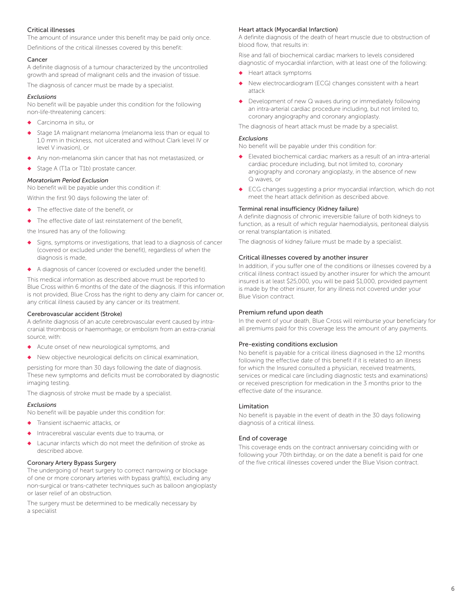#### Critical illnesses

The amount of insurance under this benefit may be paid only once.

Definitions of the critical illnesses covered by this benefit:

#### Cancer

A definite diagnosis of a tumour characterized by the uncontrolled growth and spread of malignant cells and the invasion of tissue.

The diagnosis of cancer must be made by a specialist.

#### *Exclusions*

No benefit will be payable under this condition for the following non-life-threatening cancers:

- ◆ Carcinoma in situ, or
- Stage 1A malignant melanoma (melanoma less than or equal to 1.0 mm in thickness, not ulcerated and without Clark level IV or level V invasion), or
- Any non-melanoma skin cancer that has not metastasized, or
- Stage A (T1a or T1b) prostate cancer.

#### *Moratorium Period Exclusion*

No benefit will be payable under this condition if:

- Within the first 90 days following the later of:
- The effective date of the benefit, or
- ◆ The effective date of last reinstatement of the benefit,

the Insured has any of the following:

- Signs, symptoms or investigations, that lead to a diagnosis of cancer (covered or excluded under the benefit), regardless of when the diagnosis is made,
- ◆ A diagnosis of cancer (covered or excluded under the benefit).

This medical information as described above must be reported to Blue Cross within 6 months of the date of the diagnosis. If this information is not provided, Blue Cross has the right to deny any claim for cancer or, any critical illness caused by any cancer or its treatment.

#### Cerebrovascular accident (Stroke)

A definite diagnosis of an acute cerebrovascular event caused by intracranial thrombosis or haemorrhage, or embolism from an extra-cranial source, with:

- ◆ Acute onset of new neurological symptoms, and
- ◆ New objective neurological deficits on clinical examination,

persisting for more than 30 days following the date of diagnosis. These new symptoms and deficits must be corroborated by diagnostic imaging testing.

The diagnosis of stroke must be made by a specialist.

#### *Exclusions*

No benefit will be payable under this condition for:

- Transient ischaemic attacks, or
- Intracerebral vascular events due to trauma, or
- Lacunar infarcts which do not meet the definition of stroke as described above.

#### Coronary Artery Bypass Surgery

The undergoing of heart surgery to correct narrowing or blockage of one or more coronary arteries with bypass graft(s), excluding any non-surgical or trans-catheter techniques such as balloon angioplasty or laser relief of an obstruction.

The surgery must be determined to be medically necessary by a specialist

#### Heart attack (Myocardial Infarction)

A definite diagnosis of the death of heart muscle due to obstruction of blood flow, that results in:

Rise and fall of biochemical cardiac markers to levels considered diagnostic of myocardial infarction, with at least one of the following:

- Heart attack symptoms
- ◆ New electrocardiogram (ECG) changes consistent with a heart attack
- Development of new Q waves during or immediately following an intra-arterial cardiac procedure including, but not limited to, coronary angiography and coronary angioplasty.

The diagnosis of heart attack must be made by a specialist.

#### *Exclusions*

No benefit will be payable under this condition for:

- ◆ Elevated biochemical cardiac markers as a result of an intra-arterial cardiac procedure including, but not limited to, coronary angiography and coronary angioplasty, in the absence of new Q waves, or
- ◆ ECG changes suggesting a prior myocardial infarction, which do not meet the heart attack definition as described above.

#### Terminal renal insufficiency (Kidney failure)

A definite diagnosis of chronic irreversible failure of both kidneys to function, as a result of which regular haemodialysis, peritoneal dialysis or renal transplantation is initiated.

The diagnosis of kidney failure must be made by a specialist.

#### Critical illnesses covered by another insurer

In addition, if you suffer one of the conditions or illnesses covered by a critical illness contract issued by another insurer for which the amount insured is at least \$25,000, you will be paid \$1,000, provided payment is made by the other insurer, for any illness not covered under your Blue Vision contract.

#### Premium refund upon death

In the event of your death, Blue Cross will reimburse your beneficiary for all premiums paid for this coverage less the amount of any payments.

#### Pre-existing conditions exclusion

No benefit is payable for a critical illness diagnosed in the 12 months following the effective date of this benefit if it is related to an illness for which the Insured consulted a physician, received treatments, services or medical care (including diagnostic tests and examinations) or received prescription for medication in the 3 months prior to the effective date of the insurance.

#### Limitation

No benefit is payable in the event of death in the 30 days following diagnosis of a critical illness.

#### End of coverage

This coverage ends on the contract anniversary coinciding with or following your 70th birthday, or on the date a benefit is paid for one of the five critical illnesses covered under the Blue Vision contract.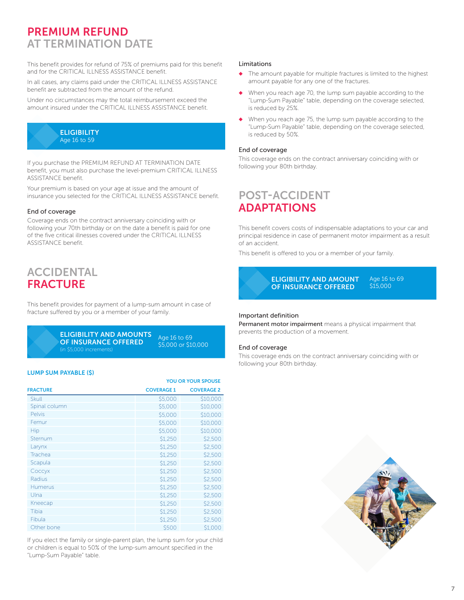## PREMIUM REFUND AT TERMINATION DATE

This benefit provides for refund of 75% of premiums paid for this benefit and for the CRITICAL ILLNESS ASSISTANCE benefit.

In all cases, any claims paid under the CRITICAL ILLNESS ASSISTANCE benefit are subtracted from the amount of the refund.

Under no circumstances may the total reimbursement exceed the amount insured under the CRITICAL ILLNESS ASSISTANCE benefit.



If you purchase the PREMIUM REFUND AT TERMINATION DATE benefit, you must also purchase the level-premium CRITICAL ILLNESS ASSISTANCE benefit.

Your premium is based on your age at issue and the amount of insurance you selected for the CRITICAL ILLNESS ASSISTANCE benefit.

#### End of coverage

Coverage ends on the contract anniversary coinciding with or following your 70th birthday or on the date a benefit is paid for one of the five critical illnesses covered under the CRITICAL ILLNESS ASSISTANCE benefit.

### ACCIDENTAL FRACTURE

This benefit provides for payment of a lump-sum amount in case of fracture suffered by you or a member of your family.

> ELIGIBILITY AND AMOUNTS OF INSURANCE OFFERED (in \$5,000 increments)

Age 16 to 69 \$5,000 or \$10,000

#### LUMP SUM PAYABLE (\$)

|                 | <b>YOU OR YOUR SPOUSE</b> |                   |
|-----------------|---------------------------|-------------------|
| <b>FRACTURE</b> | <b>COVERAGE 1</b>         | <b>COVERAGE 2</b> |
| <b>Skull</b>    | \$5,000                   | \$10,000          |
| Spinal column   | \$5,000                   | \$10,000          |
| <b>Pelvis</b>   | \$5,000                   | \$10,000          |
| Femur           | \$5,000                   | \$10,000          |
| Hip             | \$5,000                   | \$10,000          |
| Sternum         | \$1,250                   | \$2,500           |
| Larynx          | \$1,250                   | \$2,500           |
| Trachea         | \$1,250                   | \$2,500           |
| Scapula         | \$1,250                   | \$2,500           |
| Соссух          | \$1,250                   | \$2,500           |
| Radius          | \$1,250                   | \$2,500           |
| <b>Humerus</b>  | \$1,250                   | \$2,500           |
| Ulna            | \$1,250                   | \$2,500           |
| Kneecap         | \$1,250                   | \$2,500           |
| Tibia           | \$1,250                   | \$2,500           |
| Fibula          | \$1,250                   | \$2,500           |
| Other bone      | \$500                     | \$1,000           |

If you elect the family or single-parent plan, the lump sum for your child or children is equal to 50% of the lump-sum amount specified in the "Lump-Sum Payable" table.

#### Limitations

- ◆ The amount payable for multiple fractures is limited to the highest amount payable for any one of the fractures.
- When you reach age 70, the lump sum payable according to the "Lump-Sum Payable" table, depending on the coverage selected, is reduced by 25%.
- ◆ When you reach age 75, the lump sum payable according to the "Lump-Sum Payable" table, depending on the coverage selected, is reduced by 50%.

#### End of coverage

This coverage ends on the contract anniversary coinciding with or following your 80th birthday.

## POST-ACCIDENT ADAPTATIONS

This benefit covers costs of indispensable adaptations to your car and principal residence in case of permanent motor impairment as a result of an accident.

This benefit is offered to you or a member of your family.



#### Important definition

Permanent motor impairment means a physical impairment that prevents the production of a movement.

#### End of coverage

This coverage ends on the contract anniversary coinciding with or following your 80th birthday.

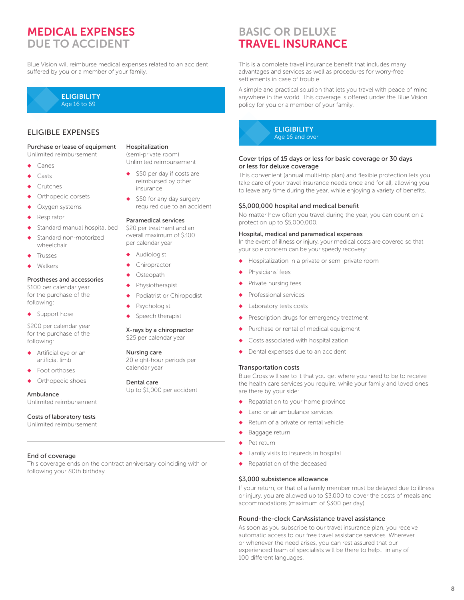## MEDICAL EXPENSES DUE TO ACCIDENT

Blue Vision will reimburse medical expenses related to an accident suffered by you or a member of your family.



#### ELIGIBLE EXPENSES

Purchase or lease of equipment Unlimited reimbursement

- Canes
- Casts
- **Crutches**
- Orthopedic corsets
- Oxygen systems
- Respirator
- Standard manual hospital bed
- Standard non-motorized wheelchair
- **Trusses**
- Walkers

#### Prostheses and accessories

\$100 per calendar year for the purchase of the following:

◆ Support hose

\$200 per calendar year for the purchase of the following:

- ◆ Artificial eye or an artificial limb
- Foot orthoses
- Orthopedic shoes

#### Ambulance

Unlimited reimbursement

#### Costs of laboratory tests

Unlimited reimbursement

#### End of coverage

This coverage ends on the contract anniversary coinciding with or following your 80th birthday.

#### Hospitalization

(semi-private room) Unlimited reimbursement

- \$50 per day if costs are reimbursed by other insurance
- \$50 for any day surgery required due to an accident

#### Paramedical services

\$20 per treatment and an overall maximum of \$300 per calendar year

- Audiologist
- Chiropractor
- Osteopath
- Physiotherapist
- Podiatrist or Chiropodist
- Psychologist
- Speech therapist

#### X-rays by a chiropractor \$25 per calendar year

#### Nursing care

20 eight-hour periods per calendar year

#### Dental care

Up to \$1,000 per accident

## BASIC OR DELUXE TRAVEL INSURANCE

This is a complete travel insurance benefit that includes many advantages and services as well as procedures for worry-free settlements in case of trouble.

A simple and practical solution that lets you travel with peace of mind anywhere in the world. This coverage is offered under the Blue Vision policy for you or a member of your family.



#### Cover trips of 15 days or less for basic coverage or 30 days or less for deluxe coverage

This convenient (annual multi-trip plan) and flexible protection lets you take care of your travel insurance needs once and for all, allowing you to leave any time during the year, while enjoying a variety of benefits.

#### \$5,000,000 hospital and medical benefit

No matter how often you travel during the year, you can count on a protection up to \$5,000,000.

#### Hospital, medical and paramedical expenses

In the event of illness or injury, your medical costs are covered so that your sole concern can be your speedy recovery:

- ◆ Hospitalization in a private or semi-private room
- Physicians' fees
- Private nursing fees
- Professional services
- Laboratory tests costs
- Prescription drugs for emergency treatment
- ◆ Purchase or rental of medical equipment
- Costs associated with hospitalization
- Dental expenses due to an accident

#### Transportation costs

Blue Cross will see to it that you get where you need to be to receive the health care services you require, while your family and loved ones are there by your side:

- Repatriation to your home province
- Land or air ambulance services
- Return of a private or rental vehicle
- ◆ Baggage return
- Pet return
- Family visits to insureds in hospital
- Repatriation of the deceased

#### \$3,000 subsistence allowance

If your return, or that of a family member must be delayed due to illness or injury, you are allowed up to \$3,000 to cover the costs of meals and accommodations (maximum of \$300 per day).

#### Round-the-clock CanAssistance travel assistance

As soon as you subscribe to our travel insurance plan, you receive automatic access to our free travel assistance services. Wherever or whenever the need arises, you can rest assured that our experienced team of specialists will be there to help… in any of 100 different languages.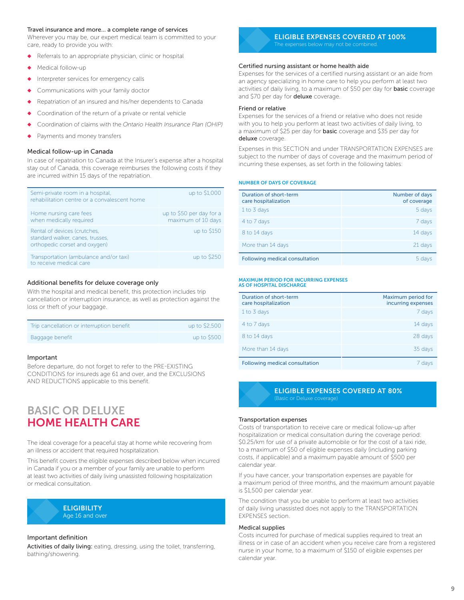#### Travel insurance and more… a complete range of services

Wherever you may be, our expert medical team is committed to your care, ready to provide you with:

- Referrals to an appropriate physician, clinic or hospital
- Medical follow-up
- Interpreter services for emergency calls
- Communications with your family doctor
- Repatriation of an insured and his/her dependents to Canada
- Coordination of the return of a private or rental vehicle
- Coordination of claims with the *Ontario Health Insurance Plan (OHIP)*
- Payments and money transfers

#### Medical follow-up in Canada

In case of repatriation to Canada at the Insurer's expense after a hospital stay out of Canada, this coverage reimburses the following costs if they are incurred within 15 days of the repatriation.

| Semi-private room in a hospital,<br>rehabilitation centre or a convalescent home                  | up to \$1,000                                  |
|---------------------------------------------------------------------------------------------------|------------------------------------------------|
| Home nursing care fees<br>when medically required                                                 | up to \$50 per day for a<br>maximum of 10 days |
| Rental of devices (crutches,<br>standard walker, canes, trusses,<br>orthopedic corset and oxygen) | up to \$150                                    |
| Transportation (ambulance and/or taxi)<br>to receive medical care                                 | up to \$250                                    |

#### Additional benefits for deluxe coverage only

With the hospital and medical benefit, this protection includes trip cancellation or interruption insurance, as well as protection against the loss or theft of your baggage.

| Trip cancellation or interruption benefit | up to \$2,500 |
|-------------------------------------------|---------------|
| Baggage benefit                           | up to \$500   |

#### Important

Before departure, do not forget to refer to the PRE-EXISTING CONDITIONS for insureds age 61 and over, and the EXCLUSIONS AND REDUCTIONS applicable to this benefit.

### BASIC OR DELUXE HOME HEALTH CARE

The ideal coverage for a peaceful stay at home while recovering from an illness or accident that required hospitalization.

This benefit covers the eligible expenses described below when incurred in Canada if you or a member of your family are unable to perform at least two activities of daily living unassisted following hospitalization or medical consultation.



#### Important definition

Activities of daily living: eating, dressing, using the toilet, transferring, bathing/showering.



#### ELIGIBLE EXPENSES COVERED AT 100% The expenses below may not be combined.

#### Certified nursing assistant or home health aide

Expenses for the services of a certified nursing assistant or an aide from an agency specializing in home care to help you perform at least two activities of daily living, to a maximum of \$50 per day for **basic** coverage and \$70 per day for deluxe coverage.

#### Friend or relative

Expenses for the services of a friend or relative who does not reside with you to help you perform at least two activities of daily living, to a maximum of \$25 per day for **basic** coverage and \$35 per day for deluxe coverage.

Expenses in this SECTION and under TRANSPORTATION EXPENSES are subject to the number of days of coverage and the maximum period of incurring these expenses, as set forth in the following tables:

#### NUMBER OF DAYS OF COVERAGE

| Duration of short-term<br>care hospitalization | Number of days<br>of coverage |
|------------------------------------------------|-------------------------------|
| 1 to 3 days                                    | 5 days                        |
| 4 to 7 days                                    | 7 days                        |
| 8 to 14 days                                   | 14 days                       |
| More than 14 days                              | 21 days                       |
| <b>Following medical consultation</b>          | 5 davs                        |

#### MAXIMUM PERIOD FOR INCURRING EXPENSES AS OF HOSPITAL DISCHARGE

| Duration of short-term<br>care hospitalization | Maximum period for<br>incurring expenses |
|------------------------------------------------|------------------------------------------|
| 1 to 3 days                                    | 7 days                                   |
| 4 to 7 days                                    | 14 days                                  |
| 8 to 14 days                                   | 28 days                                  |
| More than 14 days                              | 35 days                                  |
| Following medical consultation                 | davs                                     |

ELIGIBLE EXPENSES COVERED AT 80%

#### Transportation expenses

Costs of transportation to receive care or medical follow-up after hospitalization or medical consultation during the coverage period: \$0.25/km for use of a private automobile or for the cost of a taxi ride, to a maximum of \$50 of eligible expenses daily (including parking costs, if applicable) and a maximum payable amount of \$500 per calendar year.

If you have cancer, your transportation expenses are payable for a maximum period of three months, and the maximum amount payable is \$1,500 per calendar year.

The condition that you be unable to perform at least two activities of daily living unassisted does not apply to the TRANSPORTATION EXPENSES section.

#### Medical supplies

Costs incurred for purchase of medical supplies required to treat an illness or in case of an accident when you receive care from a registered nurse in your home, to a maximum of \$150 of eligible expenses per calendar year.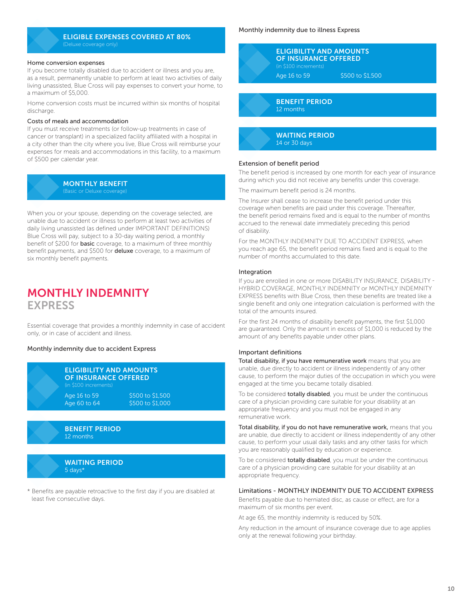#### ELIGIBLE EXPENSES COVERED AT 80% (Deluxe coverage only)

#### Home conversion expenses

If you become totally disabled due to accident or illness and you are, as a result, permanently unable to perform at least two activities of daily living unassisted, Blue Cross will pay expenses to convert your home, to a maximum of \$5,000.

Home conversion costs must be incurred within six months of hospital discharge.

#### Costs of meals and accommodation

If you must receive treatments (or follow-up treatments in case of cancer or transplant) in a specialized facility affiliated with a hospital in a city other than the city where you live, Blue Cross will reimburse your expenses for meals and accommodations in this facility, to a maximum of \$500 per calendar year.

#### MONTHLY BENEFIT

When you or your spouse, depending on the coverage selected, are unable due to accident or illness to perform at least two activities of daily living unassisted (as defined under IMPORTANT DEFINITIONS) Blue Cross will pay, subject to a 30-day waiting period, a monthly benefit of \$200 for **basic** coverage, to a maximum of three monthly benefit payments, and \$500 for **deluxe** coverage, to a maximum of six monthly benefit payments.

### MONTHLY INDEMNITY **EXPRESS**

Essential coverage that provides a monthly indemnity in case of accident only, or in case of accident and illness.

#### Monthly indemnity due to accident Express

| <b>ELIGIBILITY AND AMOUNTS</b><br><b>OF INSURANCE OFFERED</b><br>(in \$100 increments) |                                      |  |
|----------------------------------------------------------------------------------------|--------------------------------------|--|
| Age 16 to 59<br>Age $60$ to $64$                                                       | \$500 to \$1,500<br>\$500 to \$1,000 |  |
|                                                                                        |                                      |  |





\* Benefits are payable retroactive to the first day if you are disabled at least five consecutive days.

#### Monthly indemnity due to illness Express



BENEFIT PERIOD 12 months

WAITING PERIOD 14 or 30 days

#### Extension of benefit period

The benefit period is increased by one month for each year of insurance during which you did not receive any benefits under this coverage.

The maximum benefit period is 24 months.

The Insurer shall cease to increase the benefit period under this coverage when benefits are paid under this coverage. Thereafter, the benefit period remains fixed and is equal to the number of months accrued to the renewal date immediately preceding this period of disability.

For the MONTHLY INDEMNITY DUE TO ACCIDENT EXPRESS, when you reach age 65, the benefit period remains fixed and is equal to the number of months accumulated to this date.

#### **Integration**

If you are enrolled in one or more DISABILITY INSURANCE, DISABILITY - HYBRID COVERAGE, MONTHLY INDEMNITY or MONTHLY INDEMNITY EXPRESS benefits with Blue Cross, then these benefits are treated like a single benefit and only one integration calculation is performed with the total of the amounts insured.

For the first 24 months of disability benefit payments, the first \$1,000 are guaranteed. Only the amount in excess of \$1,000 is reduced by the amount of any benefits payable under other plans.

#### Important definitions

Total disability, if you have remunerative work means that you are unable, due directly to accident or illness independently of any other cause, to perform the major duties of the occupation in which you were engaged at the time you became totally disabled.

To be considered **totally disabled**, you must be under the continuous care of a physician providing care suitable for your disability at an appropriate frequency and you must not be engaged in any remunerative work.

Total disability, if you do not have remunerative work, means that you are unable, due directly to accident or illness independently of any other cause, to perform your usual daily tasks and any other tasks for which you are reasonably qualified by education or experience.

To be considered **totally disabled**, you must be under the continuous care of a physician providing care suitable for your disability at an appropriate frequency.

#### Limitations - MONTHLY INDEMNITY DUE TO ACCIDENT EXPRESS

Benefits payable due to herniated disc, as cause or effect, are for a maximum of six months per event.

At age 65, the monthly indemnity is reduced by 50%.

Any reduction in the amount of insurance coverage due to age applies only at the renewal following your birthday.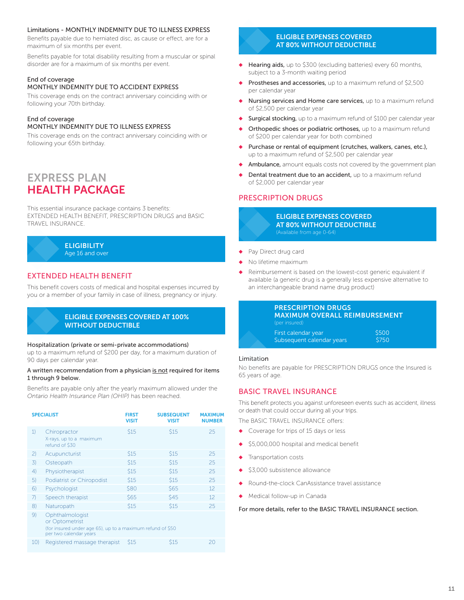#### Limitations - MONTHLY INDEMNITY DUE TO ILLNESS EXPRESS

Benefits payable due to herniated disc, as cause or effect, are for a maximum of six months per event.

Benefits payable for total disability resulting from a muscular or spinal disorder are for a maximum of six months per event.

## End of coverage

#### MONTHLY INDEMNITY DUE TO ACCIDENT EXPRESS

This coverage ends on the contract anniversary coinciding with or following your 70th birthday.

#### End of coverage MONTHLY INDEMNITY DUE TO ILLNESS EXPRESS

This coverage ends on the contract anniversary coinciding with or following your 65th birthday.

## EXPRESS PLAN HEALTH PACKAGE

This essential insurance package contains 3 benefits: EXTENDED HEALTH BENEFIT, PRESCRIPTION DRUGS and BASIC TRAVEL INSURANCE.



#### EXTENDED HEALTH BENEFIT

This benefit covers costs of medical and hospital expenses incurred by you or a member of your family in case of illness, pregnancy or injury.

#### ELIGIBLE EXPENSES COVERED AT 100% WITHOUT DEDUCTIBLE

#### Hospitalization (private or semi-private accommodations)

up to a maximum refund of \$200 per day, for a maximum duration of 90 days per calendar year.

#### A written recommendation from a physician is not required for items 1 through 9 below.

Benefits are payable only after the yearly maximum allowed under the *Ontario Health Insurance Plan (OHIP)* has been reached.

| <b>SPECIALIST</b> |                                                                                                                           | <b>FIRST</b><br><b>VISIT</b> | <b>SUBSEQUENT</b><br><b>VISIT</b> | <b>MAXIMUM</b><br><b>NUMBER</b> |
|-------------------|---------------------------------------------------------------------------------------------------------------------------|------------------------------|-----------------------------------|---------------------------------|
| 1)                | Chiropractor<br>X-rays, up to a maximum<br>refund of \$30                                                                 | \$15                         | \$15                              | 25                              |
| $\mathbf{2}$      | Acupuncturist                                                                                                             | \$15                         | \$15                              | 25                              |
| 3)                | Osteopath                                                                                                                 | \$15                         | \$15                              | 25                              |
| 4)                | Physiotherapist                                                                                                           | \$15                         | \$15                              | 25                              |
| 5)                | Podiatrist or Chiropodist                                                                                                 | \$15                         | \$15                              | 25                              |
| 6)                | Psychologist                                                                                                              | \$80                         | <b>S65</b>                        | 12                              |
| 7)                | Speech therapist                                                                                                          | \$65                         | <b>\$45</b>                       | 12                              |
| $\{8\}$           | Naturopath                                                                                                                | \$15                         | \$15                              | 25                              |
| 9)                | Ophthalmologist<br>or Optometrist<br>(for insured under age 65), up to a maximum refund of \$50<br>per two calendar years |                              |                                   |                                 |
| 10)               | Registered massage therapist                                                                                              | S <sub>15</sub>              | S <sub>15</sub>                   | 20                              |

#### ELIGIBLE EXPENSES COVERED AT 80% WITHOUT DEDUCTIBLE

- ◆ Hearing aids, up to \$300 (excluding batteries) every 60 months, subject to a 3-month waiting period
- Prostheses and accessories, up to a maximum refund of \$2,500 per calendar year
- Nursing services and Home care services, up to a maximum refund of \$2,500 per calendar year
- Surgical stocking, up to a maximum refund of \$100 per calendar year
- Orthopedic shoes or podiatric orthoses, up to a maximum refund of \$200 per calendar year for both combined
- ◆ Purchase or rental of equipment (crutches, walkers, canes, etc.), up to a maximum refund of \$2,500 per calendar year
- Ambulance, amount equals costs not covered by the government plan
- Dental treatment due to an accident, up to a maximum refund of \$2,000 per calendar year

#### PRESCRIPTION DRUGS



- Pay Direct drug card
- No lifetime maximum
- Reimbursement is based on the lowest-cost generic equivalent if available (a generic drug is a generally less expensive alternative to an interchangeable brand name drug product)

#### PRESCRIPTION DRUGS MAXIMUM OVERALL REIMBURSEMENT

| (per insured)             |       |
|---------------------------|-------|
| First calendar year       | \$500 |
| Subsequent calendar years | \$750 |

#### **Limitation**

No benefits are payable for PRESCRIPTION DRUGS once the Insured is 65 years of age.

#### BASIC TRAVEL INSURANCE

This benefit protects you against unforeseen events such as accident, illness or death that could occur during all your trips.

The BASIC TRAVEL INSURANCE offers:

- Coverage for trips of 15 days or less
- \$5,000,000 hospital and medical benefit
- Transportation costs
- \$3,000 subsistence allowance
- Round-the-clock CanAssistance travel assistance
- ◆ Medical follow-up in Canada

For more details, refer to the BASIC TRAVEL INSURANCE section.